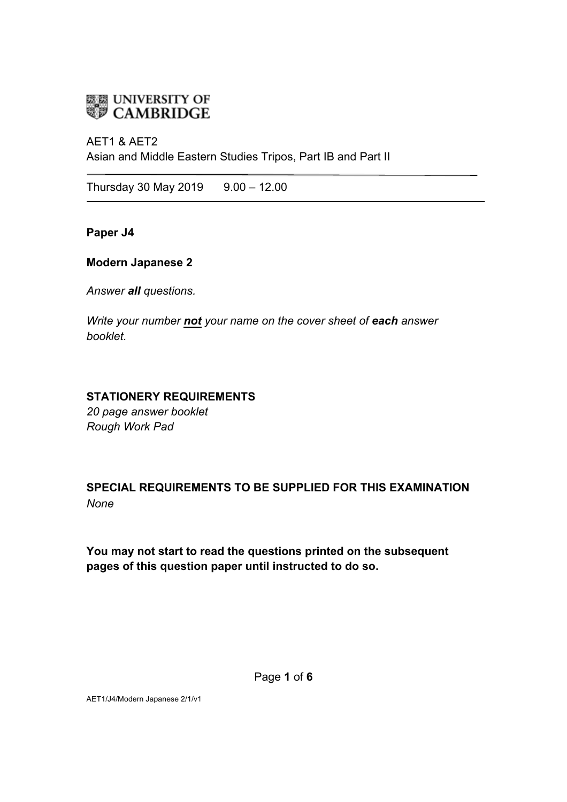

## AET1 & AET2 Asian and Middle Eastern Studies Tripos, Part IB and Part II

Thursday 30 May 2019  $9.00 - 12.00$ 

**Paper J4**

#### **Modern Japanese 2**

*Answer all questions.*

*Write your number not your name on the cover sheet of each answer booklet.* 

## **STATIONERY REQUIREMENTS**

*20 page answer booklet Rough Work Pad*

# **SPECIAL REQUIREMENTS TO BE SUPPLIED FOR THIS EXAMINATION** *None*

**You may not start to read the questions printed on the subsequent pages of this question paper until instructed to do so.**

AET1/J4/Modern Japanese 2/1/v1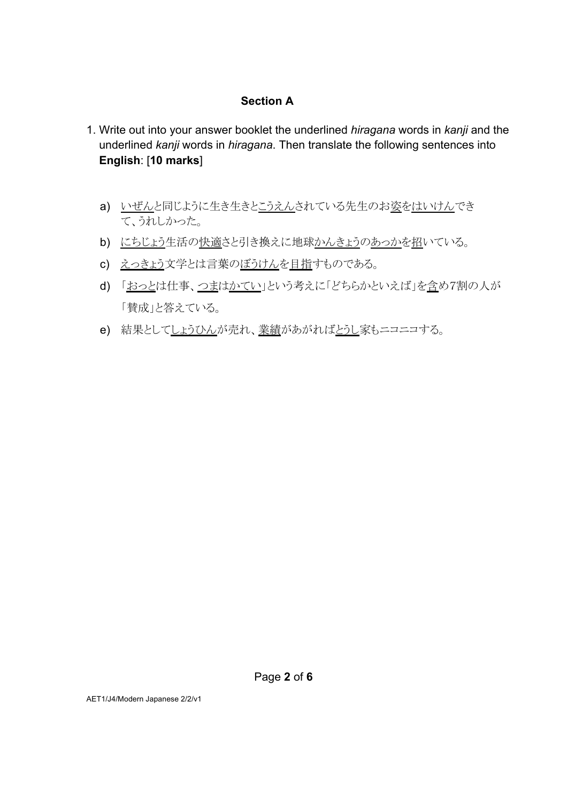#### **Section A**

- 1. Write out into your answer booklet the underlined *hiragana* words in *kanji* and the underlined *kanji* words in *hiragana*. Then translate the following sentences into **English**: [**10 marks**]
	- a) いぜんと同じように生き生きとこうえんされている先生のお姿をはいけんでき て、うれしかった。
	- b) にちじょう生活の快適さと引き換えに地球かんきょうのあっかを招いている。
	- c) えっきょう文学とは言葉のぼうけんを目指すものである。
	- d) 「おっとは仕事、つまはかてい」という考えに「どちらかといえば」を含め7割の人が 「賛成」と答えている。
	- e) 結果としてしょうひんが売れ、業績があがればとうし家もニコニコする。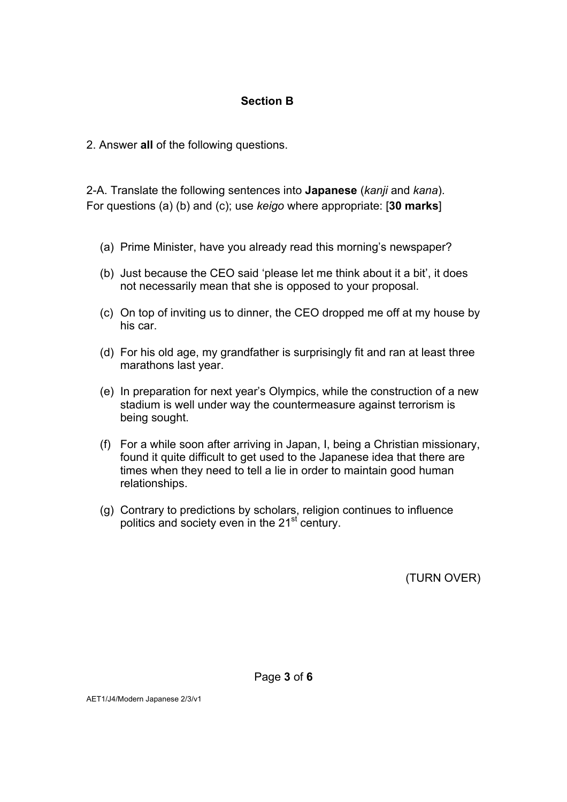### **Section B**

2. Answer **all** of the following questions.

2-A. Translate the following sentences into **Japanese** (*kanji* and *kana*). For questions (a) (b) and (c); use *keigo* where appropriate: [**30 marks**]

- (a) Prime Minister, have you already read this morning's newspaper?
- (b) Just because the CEO said 'please let me think about it a bit', it does not necessarily mean that she is opposed to your proposal.
- (c) On top of inviting us to dinner, the CEO dropped me off at my house by his car.
- (d) For his old age, my grandfather is surprisingly fit and ran at least three marathons last year.
- (e) In preparation for next year's Olympics, while the construction of a new stadium is well under way the countermeasure against terrorism is being sought.
- (f) For a while soon after arriving in Japan, I, being a Christian missionary, found it quite difficult to get used to the Japanese idea that there are times when they need to tell a lie in order to maintain good human relationships.
- (g) Contrary to predictions by scholars, religion continues to influence politics and society even in the 21<sup>st</sup> century.

(TURN OVER)

AET1/J4/Modern Japanese 2/3/v1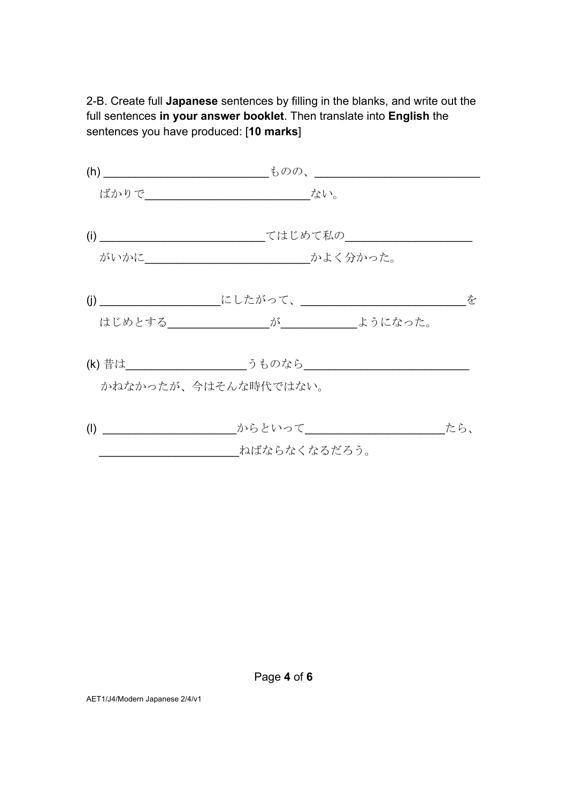2-B. Create full **Japanese** sentences by filling in the blanks, and write out the full sentences **in your answer booklet**. Then translate into **English** the sentences you have produced: [**10 marks**]

|     | ばかりで_______________ ない。                                          |  |     |
|-----|------------------------------------------------------------------|--|-----|
|     | てはじめて私の__________                                                |  |     |
|     |                                                                  |  |     |
|     |                                                                  |  | を   |
|     |                                                                  |  |     |
|     | (k) 昔は________________________うものなら_____________________________ |  |     |
|     | かねなかったが、今はそんな時代ではない。                                             |  |     |
| (1) | からといって                                                           |  | たら、 |
|     | ねばならなくなるだろう。                                                     |  |     |

Page **4** of **6**

AET1/J4/Modern Japanese 2/4/v1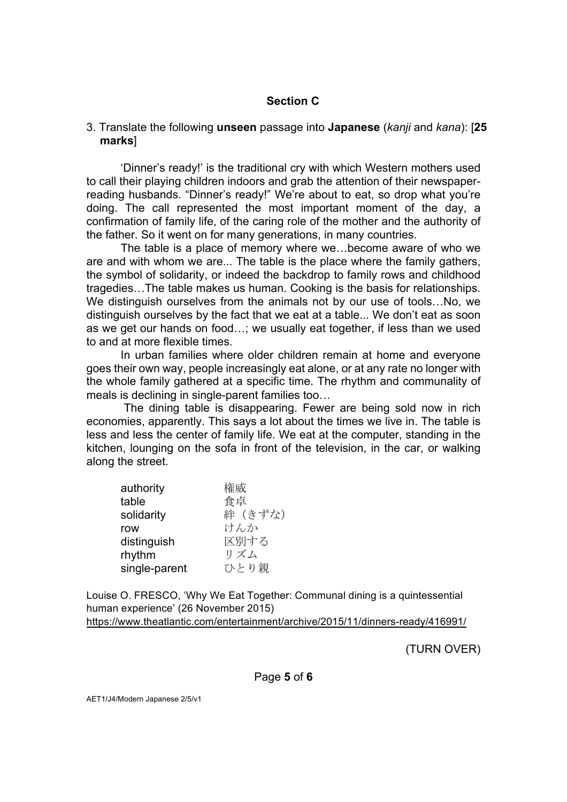#### **Section C**

#### 3. Translate the following **unseen** passage into **Japanese** (*kanji* and *kana*): [**25 marks**]

'Dinner's ready!' is the traditional cry with which Western mothers used to call their playing children indoors and grab the attention of their newspaperreading husbands. "Dinner's ready!" We're about to eat, so drop what you're doing. The call represented the most important moment of the day, a confirmation of family life, of the caring role of the mother and the authority of the father. So it went on for many generations, in many countries.

The table is a place of memory where we…become aware of who we are and with whom we are... The table is the place where the family gathers, the symbol of solidarity, or indeed the backdrop to family rows and childhood tragedies…The table makes us human. Cooking is the basis for relationships. We distinguish ourselves from the animals not by our use of tools…No, we distinguish ourselves by the fact that we eat at a table... We don't eat as soon as we get our hands on food…; we usually eat together, if less than we used to and at more flexible times.

In urban families where older children remain at home and everyone goes their own way, people increasingly eat alone, or at any rate no longer with the whole family gathered at a specific time. The rhythm and communality of meals is declining in single-parent families too…

The dining table is disappearing. Fewer are being sold now in rich economies, apparently. This says a lot about the times we live in. The table is less and less the center of family life. We eat at the computer, standing in the kitchen, lounging on the sofa in front of the television, in the car, or walking along the street.

| authority     | 権威      |
|---------------|---------|
| table         | 食卓      |
| solidarity    | 絆 (きずな) |
| row           | けんか     |
| distinguish   | 区別する    |
| rhythm        | リズム     |
| single-parent | ひとり親    |
|               |         |

Louise O. FRESCO, 'Why We Eat Together: Communal dining is a quintessential human experience' (26 November 2015) https://www.theatlantic.com/entertainment/archive/2015/11/dinners-ready/416991/

(TURN OVER)

Page **5** of **6**

AET1/J4/Modern Japanese 2/5/v1